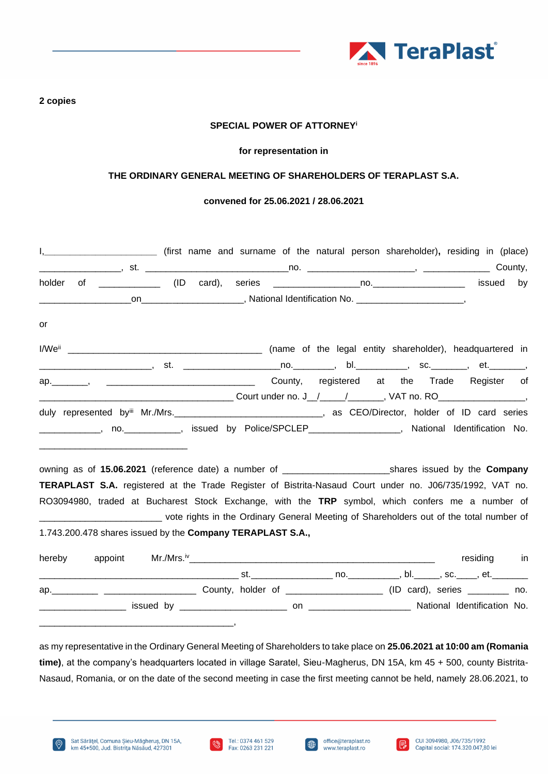

#### **2 copies**

## **SPECIAL POWER OF ATTORNEY<sup>i</sup>**

#### **for representation in**

## **THE ORDINARY GENERAL MEETING OF SHAREHOLDERS OF TERAPLAST S.A.**

## **convened for 25.06.2021 / 28.06.2021**

| holder |                                                                                                                       |  |             | by |
|--------|-----------------------------------------------------------------------------------------------------------------------|--|-------------|----|
|        |                                                                                                                       |  |             |    |
| or     |                                                                                                                       |  |             |    |
|        |                                                                                                                       |  |             |    |
|        | ________________________, st. ______________________no.___________, bl.____________, sc._________, et.________        |  |             |    |
|        | ap. Mannes Anti- and County, registered at the Trade Register of                                                      |  |             |    |
|        |                                                                                                                       |  |             |    |
|        | duly represented by Mr./Mrs. ___________________________________, as CEO/Director, holder of ID card series           |  |             |    |
|        | _____________, no.___________, issued by Police/SPCLEP_________________, National Identification No.                  |  |             |    |
|        |                                                                                                                       |  |             |    |
|        | TERAPLAST S.A. registered at the Trade Register of Bistrita-Nasaud Court under no. J06/735/1992, VAT no.              |  |             |    |
|        | RO3094980, traded at Bucharest Stock Exchange, with the TRP symbol, which confers me a number of                      |  |             |    |
|        | ______________________________ vote rights in the Ordinary General Meeting of Shareholders out of the total number of |  |             |    |
|        | 1.743.200.478 shares issued by the Company TERAPLAST S.A.,                                                            |  |             |    |
| hereby |                                                                                                                       |  | residing in |    |
|        |                                                                                                                       |  |             |    |
|        |                                                                                                                       |  |             |    |
|        |                                                                                                                       |  |             |    |

as my representative in the Ordinary General Meeting of Shareholders to take place on **25.06.2021 at 10:00 am (Romania time)**, at the company's headquarters located in village Saratel, Sieu-Magherus, DN 15A, km 45 + 500, county Bistrita-Nasaud, Romania, or on the date of the second meeting in case the first meeting cannot be held, namely 28.06.2021, to







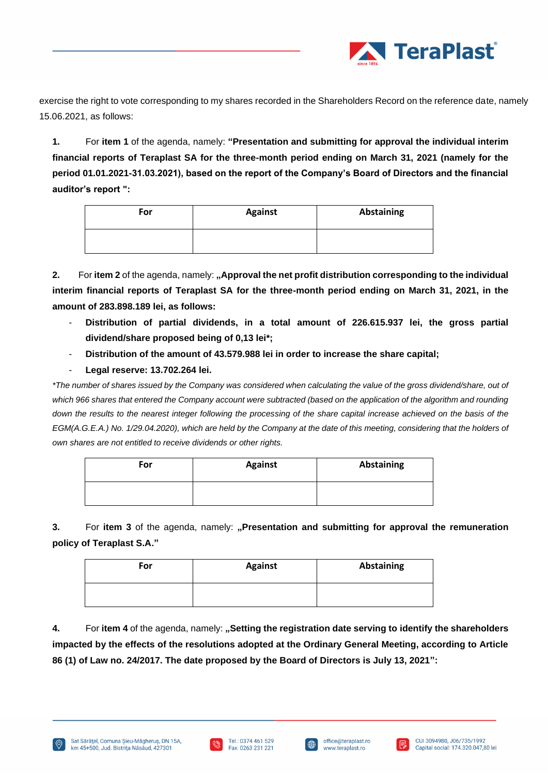

exercise the right to vote corresponding to my shares recorded in the Shareholders Record on the reference date, namely 15.06.2021, as follows:

**1.** For **item 1** of the agenda, namely: **"Presentation and submitting for approval the individual interim financial reports of Teraplast SA for the three-month period ending on March 31, 2021 (namely for the period 01.01.2021-31.03.2021), based on the report of the Company's Board of Directors and the financial auditor's report ":**

| For | <b>Against</b> | Abstaining |
|-----|----------------|------------|
|     |                |            |

**2.** For item 2 of the agenda, namely: "Approval the net profit distribution corresponding to the individual **interim financial reports of Teraplast SA for the three-month period ending on March 31, 2021, in the amount of 283.898.189 lei, as follows:**

- **Distribution of partial dividends, in a total amount of 226.615.937 lei, the gross partial dividend/share proposed being of 0,13 lei\*;**
- **Distribution of the amount of 43.579.988 lei in order to increase the share capital;**
- **Legal reserve: 13.702.264 lei.**

\*The number of shares issued by the Company was considered when calculating the value of the gross dividend/share, out of which 966 shares that entered the Company account were subtracted (based on the application of the algorithm and rounding down the results to the nearest integer following the processing of the share capital increase achieved on the basis of the *EGM(A.G.E.A.) No. 1/29.04.2020), which are held by the Company at the date of this meeting, considering that the holders of own shares are not entitled to receive dividends or other rights.*

| For | <b>Against</b> | Abstaining |
|-----|----------------|------------|
|     |                |            |

**3.** For **item 3** of the agenda, namely: **"Presentation and submitting for approval the remuneration policy of Teraplast S.A."**

| For | <b>Against</b> | <b>Abstaining</b> |
|-----|----------------|-------------------|
|     |                |                   |

**4.** For **item 4** of the agenda, namely: **"Setting the registration date serving to identify the shareholders impacted by the effects of the resolutions adopted at the Ordinary General Meeting, according to Article 86 (1) of Law no. 24/2017. The date proposed by the Board of Directors is July 13, 2021":**



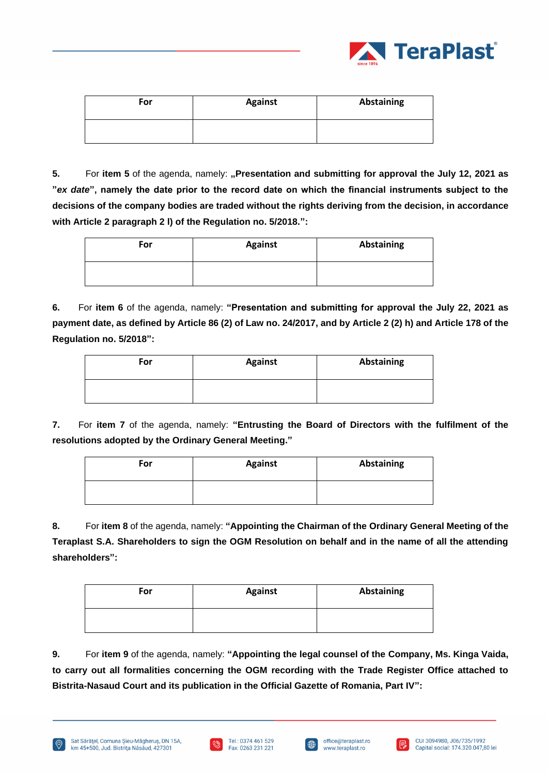

| For | <b>Against</b> | Abstaining |
|-----|----------------|------------|
|     |                |            |

**5.** For item 5 of the agenda, namely: "Presentation and submitting for approval the July 12, 2021 as **"***ex date***", namely the date prior to the record date on which the financial instruments subject to the decisions of the company bodies are traded without the rights deriving from the decision, in accordance with Article 2 paragraph 2 l) of the Regulation no. 5/2018.":**

| For | <b>Against</b> | <b>Abstaining</b> |
|-----|----------------|-------------------|
|     |                |                   |

**6.** For **item 6** of the agenda, namely: **"Presentation and submitting for approval the July 22, 2021 as payment date, as defined by Article 86 (2) of Law no. 24/2017, and by Article 2 (2) h) and Article 178 of the Regulation no. 5/2018":**

| For | <b>Against</b> | Abstaining |
|-----|----------------|------------|
|     |                |            |

**7.** For **item 7** of the agenda, namely: **"Entrusting the Board of Directors with the fulfilment of the resolutions adopted by the Ordinary General Meeting."**

| For | <b>Against</b> | Abstaining |
|-----|----------------|------------|
|     |                |            |

**8.** For **item 8** of the agenda, namely: **"Appointing the Chairman of the Ordinary General Meeting of the Teraplast S.A. Shareholders to sign the OGM Resolution on behalf and in the name of all the attending shareholders":**

| For | <b>Against</b> | <b>Abstaining</b> |
|-----|----------------|-------------------|
|     |                |                   |

**9.** For **item 9** of the agenda, namely: **"Appointing the legal counsel of the Company, Ms. Kinga Vaida, to carry out all formalities concerning the OGM recording with the Trade Register Office attached to Bistrita-Nasaud Court and its publication in the Official Gazette of Romania, Part IV":**



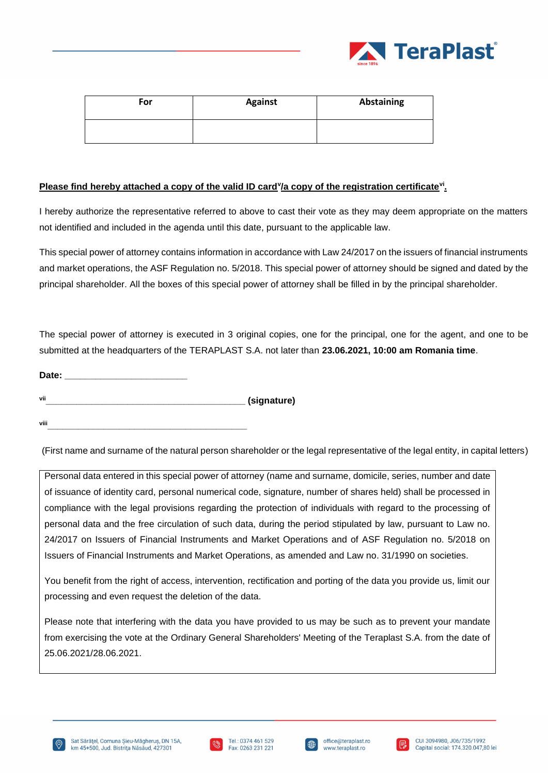

| For | <b>Against</b> | <b>Abstaining</b> |
|-----|----------------|-------------------|
|     |                |                   |

# **Please find hereby attached a copy of the valid ID card<sup>y</sup>/a copy of the registration certificate<sup>vi</sup>.**

I hereby authorize the representative referred to above to cast their vote as they may deem appropriate on the matters not identified and included in the agenda until this date, pursuant to the applicable law.

This special power of attorney contains information in accordance with Law 24/2017 on the issuers of financial instruments and market operations, the ASF Regulation no. 5/2018. This special power of attorney should be signed and dated by the principal shareholder. All the boxes of this special power of attorney shall be filled in by the principal shareholder.

The special power of attorney is executed in 3 original copies, one for the principal, one for the agent, and one to be submitted at the headquarters of the TERAPLAST S.A. not later than **23.06.2021, 10:00 am Romania time**.

| Date: |             |
|-------|-------------|
| vii   | (signature) |

**viii\_\_\_\_\_\_\_\_\_\_\_\_\_\_\_\_\_\_\_\_\_\_\_\_\_\_\_\_\_\_\_\_\_\_\_\_\_\_\_**

(First name and surname of the natural person shareholder or the legal representative of the legal entity, in capital letters)

Personal data entered in this special power of attorney (name and surname, domicile, series, number and date of issuance of identity card, personal numerical code, signature, number of shares held) shall be processed in compliance with the legal provisions regarding the protection of individuals with regard to the processing of personal data and the free circulation of such data, during the period stipulated by law, pursuant to Law no. 24/2017 on Issuers of Financial Instruments and Market Operations and of ASF Regulation no. 5/2018 on Issuers of Financial Instruments and Market Operations, as amended and Law no. 31/1990 on societies.

You benefit from the right of access, intervention, rectification and porting of the data you provide us, limit our processing and even request the deletion of the data.

Please note that interfering with the data you have provided to us may be such as to prevent your mandate from exercising the vote at the Ordinary General Shareholders' Meeting of the Teraplast S.A. from the date of 25.06.2021/28.06.2021.